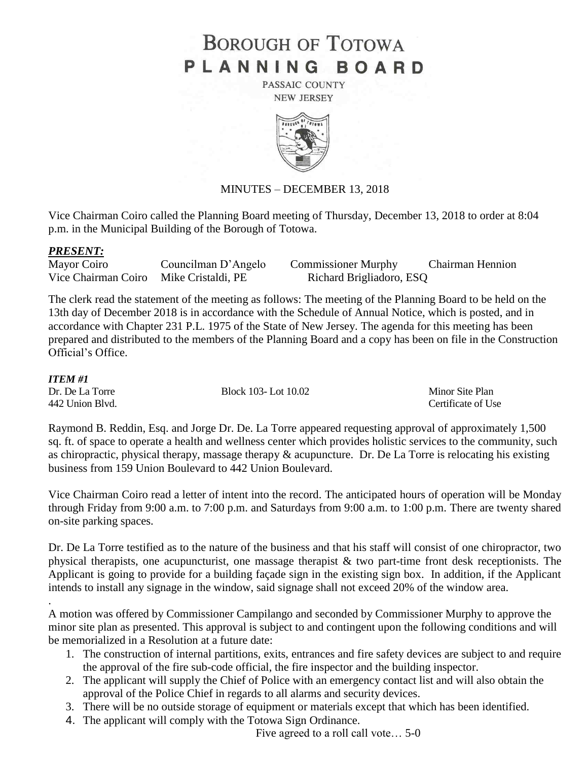# **BOROUGH OF TOTOWA** PLANNING BOARD

PASSAIC COUNTY **NEW JERSEY** 



# MINUTES – DECEMBER 13, 2018

Vice Chairman Coiro called the Planning Board meeting of Thursday, December 13, 2018 to order at 8:04 p.m. in the Municipal Building of the Borough of Totowa.

# *PRESENT:*

| Mayor Coiro                            | Councilman D'Angelo | <b>Commissioner Murphy</b> | Chairman Hennion |
|----------------------------------------|---------------------|----------------------------|------------------|
| Vice Chairman Coiro Mike Cristaldi, PE |                     | Richard Brigliadoro, ESQ   |                  |

The clerk read the statement of the meeting as follows: The meeting of the Planning Board to be held on the 13th day of December 2018 is in accordance with the Schedule of Annual Notice, which is posted, and in accordance with Chapter 231 P.L. 1975 of the State of New Jersey. The agenda for this meeting has been prepared and distributed to the members of the Planning Board and a copy has been on file in the Construction Official's Office.

#### *ITEM #1*

.

Dr. De La Torre Block 103- Lot 10.02 Minor Site Plan

442 Union Blvd. Certificate of Use

Raymond B. Reddin, Esq. and Jorge Dr. De. La Torre appeared requesting approval of approximately 1,500 sq. ft. of space to operate a health and wellness center which provides holistic services to the community, such as chiropractic, physical therapy, massage therapy & acupuncture. Dr. De La Torre is relocating his existing business from 159 Union Boulevard to 442 Union Boulevard.

Vice Chairman Coiro read a letter of intent into the record. The anticipated hours of operation will be Monday through Friday from 9:00 a.m. to 7:00 p.m. and Saturdays from 9:00 a.m. to 1:00 p.m. There are twenty shared on-site parking spaces.

Dr. De La Torre testified as to the nature of the business and that his staff will consist of one chiropractor, two physical therapists, one acupuncturist, one massage therapist & two part-time front desk receptionists. The Applicant is going to provide for a building façade sign in the existing sign box. In addition, if the Applicant intends to install any signage in the window, said signage shall not exceed 20% of the window area.

A motion was offered by Commissioner Campilango and seconded by Commissioner Murphy to approve the minor site plan as presented. This approval is subject to and contingent upon the following conditions and will be memorialized in a Resolution at a future date:

- 1. The construction of internal partitions, exits, entrances and fire safety devices are subject to and require the approval of the fire sub-code official, the fire inspector and the building inspector.
- 2. The applicant will supply the Chief of Police with an emergency contact list and will also obtain the approval of the Police Chief in regards to all alarms and security devices.
- 3. There will be no outside storage of equipment or materials except that which has been identified.
- 4. The applicant will comply with the Totowa Sign Ordinance.

Five agreed to a roll call vote… 5-0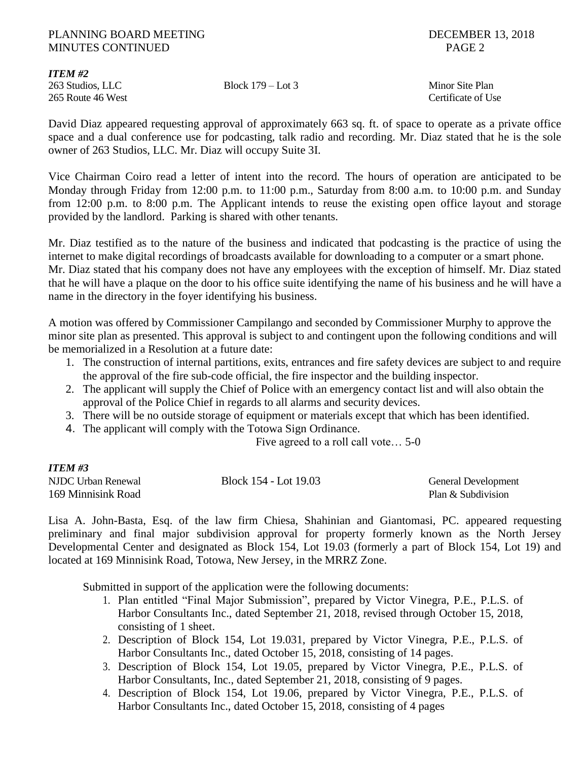#### PLANNING BOARD MEETING **DECEMBER 13, 2018** MINUTES CONTINUED PAGE 2

*ITEM #2*

265 Route 46 West **Certificate of Use** Certificate of Use

263 Studios, LLC Block 179 – Lot 3 Minor Site Plan

David Diaz appeared requesting approval of approximately 663 sq. ft. of space to operate as a private office space and a dual conference use for podcasting, talk radio and recording. Mr. Diaz stated that he is the sole owner of 263 Studios, LLC. Mr. Diaz will occupy Suite 3I.

Vice Chairman Coiro read a letter of intent into the record. The hours of operation are anticipated to be Monday through Friday from 12:00 p.m. to 11:00 p.m., Saturday from 8:00 a.m. to 10:00 p.m. and Sunday from 12:00 p.m. to 8:00 p.m. The Applicant intends to reuse the existing open office layout and storage provided by the landlord. Parking is shared with other tenants.

Mr. Diaz testified as to the nature of the business and indicated that podcasting is the practice of using the internet to make digital recordings of broadcasts available for downloading to a computer or a smart phone. Mr. Diaz stated that his company does not have any employees with the exception of himself. Mr. Diaz stated that he will have a plaque on the door to his office suite identifying the name of his business and he will have a name in the directory in the foyer identifying his business.

A motion was offered by Commissioner Campilango and seconded by Commissioner Murphy to approve the minor site plan as presented. This approval is subject to and contingent upon the following conditions and will be memorialized in a Resolution at a future date:

- 1. The construction of internal partitions, exits, entrances and fire safety devices are subject to and require the approval of the fire sub-code official, the fire inspector and the building inspector.
- 2. The applicant will supply the Chief of Police with an emergency contact list and will also obtain the approval of the Police Chief in regards to all alarms and security devices.
- 3. There will be no outside storage of equipment or materials except that which has been identified.
- 4. The applicant will comply with the Totowa Sign Ordinance.

Five agreed to a roll call vote… 5-0

| ITEM #3<br>I |  |
|--------------|--|
|              |  |

| NJDC Urban Renewal | Block 154 - Lot 19.03 | <b>General Development</b> |
|--------------------|-----------------------|----------------------------|
| 169 Minnisink Road |                       | Plan & Subdivision         |

Lisa A. John-Basta, Esq. of the law firm Chiesa, Shahinian and Giantomasi, PC. appeared requesting preliminary and final major subdivision approval for property formerly known as the North Jersey Developmental Center and designated as Block 154, Lot 19.03 (formerly a part of Block 154, Lot 19) and located at 169 Minnisink Road, Totowa, New Jersey, in the MRRZ Zone.

Submitted in support of the application were the following documents:

- 1. Plan entitled "Final Major Submission", prepared by Victor Vinegra, P.E., P.L.S. of Harbor Consultants Inc., dated September 21, 2018, revised through October 15, 2018, consisting of 1 sheet.
- 2. Description of Block 154, Lot 19.031, prepared by Victor Vinegra, P.E., P.L.S. of Harbor Consultants Inc., dated October 15, 2018, consisting of 14 pages.
- 3. Description of Block 154, Lot 19.05, prepared by Victor Vinegra, P.E., P.L.S. of Harbor Consultants, Inc., dated September 21, 2018, consisting of 9 pages.
- 4. Description of Block 154, Lot 19.06, prepared by Victor Vinegra, P.E., P.L.S. of Harbor Consultants Inc., dated October 15, 2018, consisting of 4 pages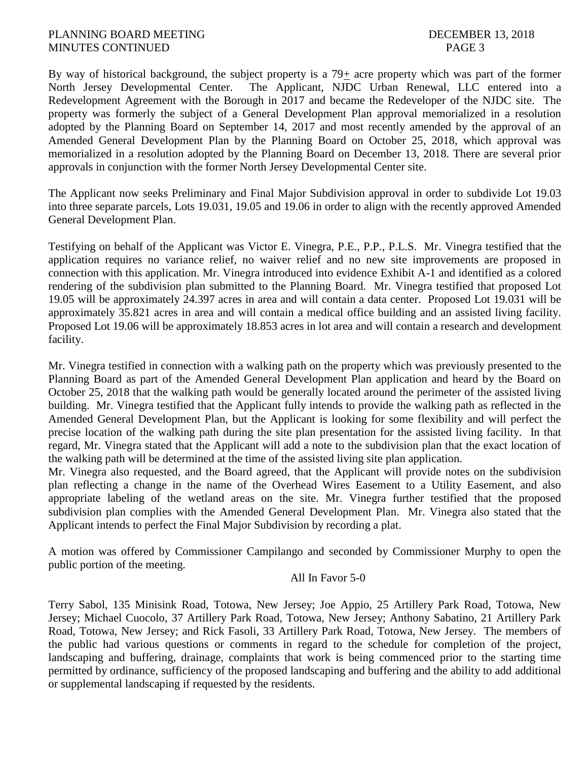By way of historical background, the subject property is a  $79<sub>±</sub>$  acre property which was part of the former North Jersey Developmental Center. The Applicant, NJDC Urban Renewal, LLC entered into a Redevelopment Agreement with the Borough in 2017 and became the Redeveloper of the NJDC site. The property was formerly the subject of a General Development Plan approval memorialized in a resolution adopted by the Planning Board on September 14, 2017 and most recently amended by the approval of an Amended General Development Plan by the Planning Board on October 25, 2018, which approval was memorialized in a resolution adopted by the Planning Board on December 13, 2018. There are several prior approvals in conjunction with the former North Jersey Developmental Center site.

The Applicant now seeks Preliminary and Final Major Subdivision approval in order to subdivide Lot 19.03 into three separate parcels, Lots 19.031, 19.05 and 19.06 in order to align with the recently approved Amended General Development Plan.

Testifying on behalf of the Applicant was Victor E. Vinegra, P.E., P.P., P.L.S. Mr. Vinegra testified that the application requires no variance relief, no waiver relief and no new site improvements are proposed in connection with this application. Mr. Vinegra introduced into evidence Exhibit A-1 and identified as a colored rendering of the subdivision plan submitted to the Planning Board. Mr. Vinegra testified that proposed Lot 19.05 will be approximately 24.397 acres in area and will contain a data center. Proposed Lot 19.031 will be approximately 35.821 acres in area and will contain a medical office building and an assisted living facility. Proposed Lot 19.06 will be approximately 18.853 acres in lot area and will contain a research and development facility.

Mr. Vinegra testified in connection with a walking path on the property which was previously presented to the Planning Board as part of the Amended General Development Plan application and heard by the Board on October 25, 2018 that the walking path would be generally located around the perimeter of the assisted living building. Mr. Vinegra testified that the Applicant fully intends to provide the walking path as reflected in the Amended General Development Plan, but the Applicant is looking for some flexibility and will perfect the precise location of the walking path during the site plan presentation for the assisted living facility. In that regard, Mr. Vinegra stated that the Applicant will add a note to the subdivision plan that the exact location of the walking path will be determined at the time of the assisted living site plan application.

Mr. Vinegra also requested, and the Board agreed, that the Applicant will provide notes on the subdivision plan reflecting a change in the name of the Overhead Wires Easement to a Utility Easement, and also appropriate labeling of the wetland areas on the site. Mr. Vinegra further testified that the proposed subdivision plan complies with the Amended General Development Plan. Mr. Vinegra also stated that the Applicant intends to perfect the Final Major Subdivision by recording a plat.

A motion was offered by Commissioner Campilango and seconded by Commissioner Murphy to open the public portion of the meeting.

# All In Favor 5-0

Terry Sabol, 135 Minisink Road, Totowa, New Jersey; Joe Appio, 25 Artillery Park Road, Totowa, New Jersey; Michael Cuocolo, 37 Artillery Park Road, Totowa, New Jersey; Anthony Sabatino, 21 Artillery Park Road, Totowa, New Jersey; and Rick Fasoli, 33 Artillery Park Road, Totowa, New Jersey. The members of the public had various questions or comments in regard to the schedule for completion of the project, landscaping and buffering, drainage, complaints that work is being commenced prior to the starting time permitted by ordinance, sufficiency of the proposed landscaping and buffering and the ability to add additional or supplemental landscaping if requested by the residents.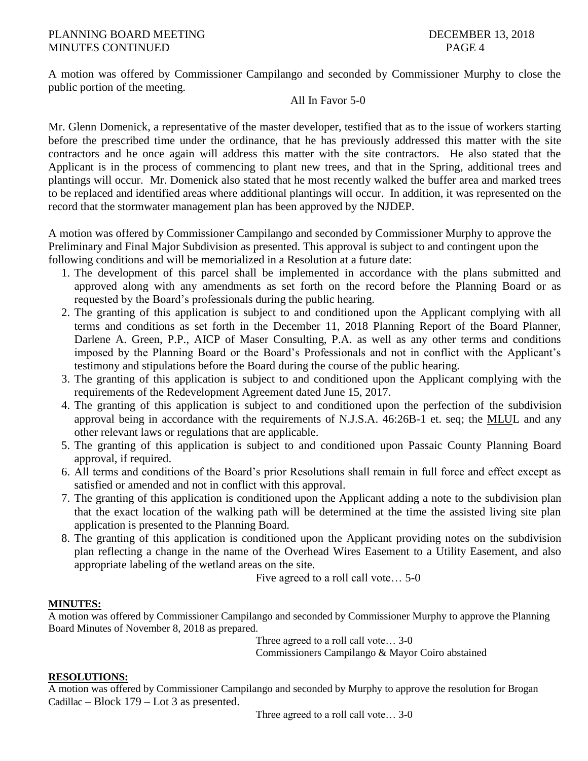# PLANNING BOARD MEETING DECEMBER 13, 2018 MINUTES CONTINUED PAGE 4

A motion was offered by Commissioner Campilango and seconded by Commissioner Murphy to close the public portion of the meeting.

# All In Favor 5-0

Mr. Glenn Domenick, a representative of the master developer, testified that as to the issue of workers starting before the prescribed time under the ordinance, that he has previously addressed this matter with the site contractors and he once again will address this matter with the site contractors. He also stated that the Applicant is in the process of commencing to plant new trees, and that in the Spring, additional trees and plantings will occur. Mr. Domenick also stated that he most recently walked the buffer area and marked trees to be replaced and identified areas where additional plantings will occur. In addition, it was represented on the record that the stormwater management plan has been approved by the NJDEP.

A motion was offered by Commissioner Campilango and seconded by Commissioner Murphy to approve the Preliminary and Final Major Subdivision as presented. This approval is subject to and contingent upon the following conditions and will be memorialized in a Resolution at a future date:

- 1. The development of this parcel shall be implemented in accordance with the plans submitted and approved along with any amendments as set forth on the record before the Planning Board or as requested by the Board's professionals during the public hearing.
- 2. The granting of this application is subject to and conditioned upon the Applicant complying with all terms and conditions as set forth in the December 11, 2018 Planning Report of the Board Planner, Darlene A. Green, P.P., AICP of Maser Consulting, P.A. as well as any other terms and conditions imposed by the Planning Board or the Board's Professionals and not in conflict with the Applicant's testimony and stipulations before the Board during the course of the public hearing.
- 3. The granting of this application is subject to and conditioned upon the Applicant complying with the requirements of the Redevelopment Agreement dated June 15, 2017.
- 4. The granting of this application is subject to and conditioned upon the perfection of the subdivision approval being in accordance with the requirements of N.J.S.A. 46:26B-1 et. seq; the MLUL and any other relevant laws or regulations that are applicable.
- 5. The granting of this application is subject to and conditioned upon Passaic County Planning Board approval, if required.
- 6. All terms and conditions of the Board's prior Resolutions shall remain in full force and effect except as satisfied or amended and not in conflict with this approval.
- 7. The granting of this application is conditioned upon the Applicant adding a note to the subdivision plan that the exact location of the walking path will be determined at the time the assisted living site plan application is presented to the Planning Board.
- 8. The granting of this application is conditioned upon the Applicant providing notes on the subdivision plan reflecting a change in the name of the Overhead Wires Easement to a Utility Easement, and also appropriate labeling of the wetland areas on the site.

Five agreed to a roll call vote… 5-0

#### **MINUTES:**

A motion was offered by Commissioner Campilango and seconded by Commissioner Murphy to approve the Planning Board Minutes of November 8, 2018 as prepared.

> Three agreed to a roll call vote… 3-0 Commissioners Campilango & Mayor Coiro abstained

#### **RESOLUTIONS:**

A motion was offered by Commissioner Campilango and seconded by Murphy to approve the resolution for Brogan Cadillac – Block 179 – Lot 3 as presented.

Three agreed to a roll call vote… 3-0